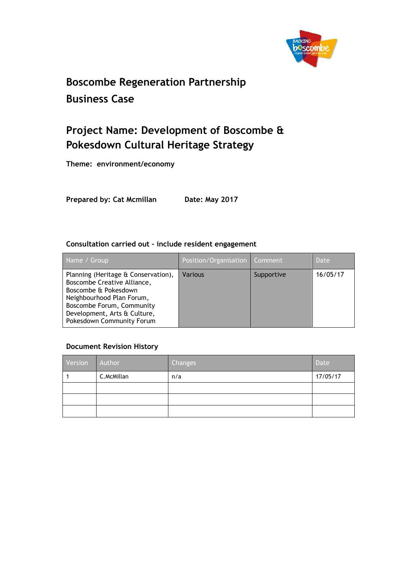

# **Boscombe Regeneration Partnership Business Case**

# **Project Name: Development of Boscombe & Pokesdown Cultural Heritage Strategy**

**Theme: environment/economy**

**Prepared by: Cat Mcmillan Date: May 2017**

#### **Consultation carried out – include resident engagement**

| Name / Group                                                                                                                                                                                                      | Position/Organisation   Comment |            | Date     |
|-------------------------------------------------------------------------------------------------------------------------------------------------------------------------------------------------------------------|---------------------------------|------------|----------|
| Planning (Heritage & Conservation),<br>Boscombe Creative Alliance,<br>Boscombe & Pokesdown<br>Neighbourhood Plan Forum,<br>Boscombe Forum, Community<br>Development, Arts & Culture,<br>Pokesdown Community Forum | <b>Various</b>                  | Supportive | 16/05/17 |

#### **Document Revision History**

| Version | Author     | Changes | Date     |
|---------|------------|---------|----------|
|         | C.McMillan | n/a     | 17/05/17 |
|         |            |         |          |
|         |            |         |          |
|         |            |         |          |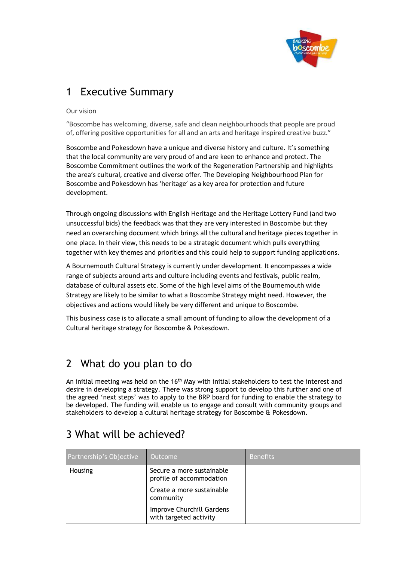

### 1 Executive Summary

Our vision

"Boscombe has welcoming, diverse, safe and clean neighbourhoods that people are proud of, offering positive opportunities for all and an arts and heritage inspired creative buzz."

Boscombe and Pokesdown have a unique and diverse history and culture. It's something that the local community are very proud of and are keen to enhance and protect. The Boscombe Commitment outlines the work of the Regeneration Partnership and highlights the area's cultural, creative and diverse offer. The Developing Neighbourhood Plan for Boscombe and Pokesdown has 'heritage' as a key area for protection and future development.

Through ongoing discussions with English Heritage and the Heritage Lottery Fund (and two unsuccessful bids) the feedback was that they are very interested in Boscombe but they need an overarching document which brings all the cultural and heritage pieces together in one place. In their view, this needs to be a strategic document which pulls everything together with key themes and priorities and this could help to support funding applications.

A Bournemouth Cultural Strategy is currently under development. It encompasses a wide range of subjects around arts and culture including events and festivals, public realm, database of cultural assets etc. Some of the high level aims of the Bournemouth wide Strategy are likely to be similar to what a Boscombe Strategy might need. However, the objectives and actions would likely be very different and unique to Boscombe.

This business case is to allocate a small amount of funding to allow the development of a Cultural heritage strategy for Boscombe & Pokesdown.

## 2 What do you plan to do

An initial meeting was held on the 16<sup>th</sup> May with initial stakeholders to test the interest and desire in developing a strategy. There was strong support to develop this further and one of the agreed 'next steps' was to apply to the BRP board for funding to enable the strategy to be developed. The funding will enable us to engage and consult with community groups and stakeholders to develop a cultural heritage strategy for Boscombe & Pokesdown.

| Partnership's Objective | Outcome                                               | <b>Benefits</b> |
|-------------------------|-------------------------------------------------------|-----------------|
| Housing                 | Secure a more sustainable<br>profile of accommodation |                 |
|                         | Create a more sustainable<br>community                |                 |
|                         | Improve Churchill Gardens<br>with targeted activity   |                 |

# 3 What will be achieved?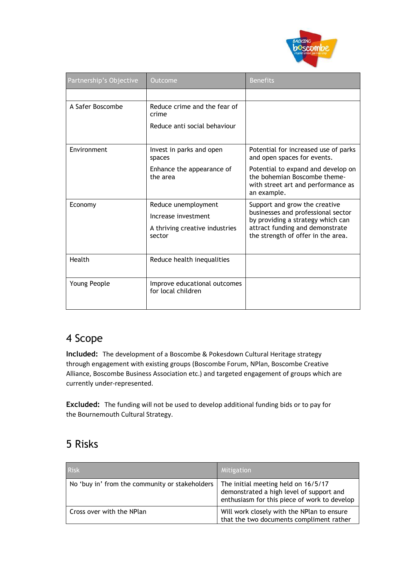

| Partnership's Objective | Outcome                                                                                | <b>Benefits</b>                                                                                                                                                                   |
|-------------------------|----------------------------------------------------------------------------------------|-----------------------------------------------------------------------------------------------------------------------------------------------------------------------------------|
|                         |                                                                                        |                                                                                                                                                                                   |
| A Safer Boscombe        | Reduce crime and the fear of<br>crime                                                  |                                                                                                                                                                                   |
|                         | Reduce anti social behaviour                                                           |                                                                                                                                                                                   |
| Environment             | Invest in parks and open<br>spaces                                                     | Potential for increased use of parks<br>and open spaces for events.                                                                                                               |
|                         | Enhance the appearance of<br>the area                                                  | Potential to expand and develop on<br>the bohemian Boscombe theme-<br>with street art and performance as<br>an example.                                                           |
| Economy                 | Reduce unemployment<br>Increase investment<br>A thriving creative industries<br>sector | Support and grow the creative<br>businesses and professional sector<br>by providing a strategy which can<br>attract funding and demonstrate<br>the strength of offer in the area. |
| Health                  | Reduce health inequalities                                                             |                                                                                                                                                                                   |
| Young People            | Improve educational outcomes<br>for local children                                     |                                                                                                                                                                                   |

## 4 Scope

**Included:** The development of a Boscombe & Pokesdown Cultural Heritage strategy through engagement with existing groups (Boscombe Forum, NPlan, Boscombe Creative Alliance, Boscombe Business Association etc.) and targeted engagement of groups which are currently under-represented.

**Excluded:** The funding will not be used to develop additional funding bids or to pay for the Bournemouth Cultural Strategy.

## 5 Risks

| <b>Risk</b>                                    | Mitigation                                                                                                                      |
|------------------------------------------------|---------------------------------------------------------------------------------------------------------------------------------|
| No 'buy in' from the community or stakeholders | The initial meeting held on 16/5/17<br>demonstrated a high level of support and<br>enthusiasm for this piece of work to develop |
| Cross over with the NPlan                      | Will work closely with the NPlan to ensure<br>that the two documents compliment rather                                          |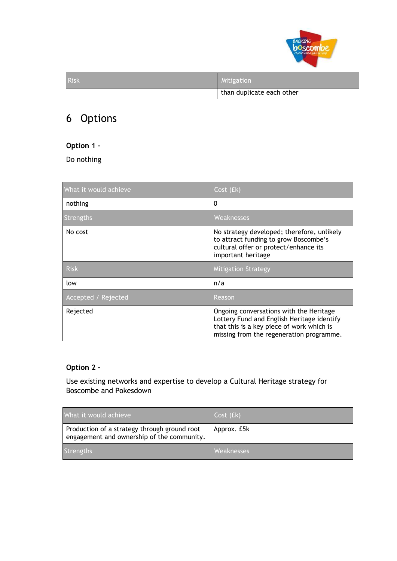

| <b>Risk</b> | Mitigation                |
|-------------|---------------------------|
|             | than duplicate each other |

## 6 Options

#### **Option 1 –**

Do nothing

| What it would achieve      | Cost (£k)                                                                                                                                          |
|----------------------------|----------------------------------------------------------------------------------------------------------------------------------------------------|
| nothing                    | $\Omega$                                                                                                                                           |
| <b>Strengths</b>           | Weaknesses                                                                                                                                         |
| No cost                    | No strategy developed; therefore, unlikely<br>to attract funding to grow Boscombe's<br>cultural offer or protect/enhance its<br>important heritage |
| <b>Risk</b>                |                                                                                                                                                    |
|                            | <b>Mitigation Strategy</b>                                                                                                                         |
| low                        | n/a                                                                                                                                                |
| <b>Accepted / Rejected</b> | Reason                                                                                                                                             |

#### **Option 2 –**

Use existing networks and expertise to develop a Cultural Heritage strategy for Boscombe and Pokesdown

| What it would achieve                                                                      | Cost (£k)   |
|--------------------------------------------------------------------------------------------|-------------|
| Production of a strategy through ground root<br>engagement and ownership of the community. | Approx. £5k |
| Strengths                                                                                  | Weaknesses  |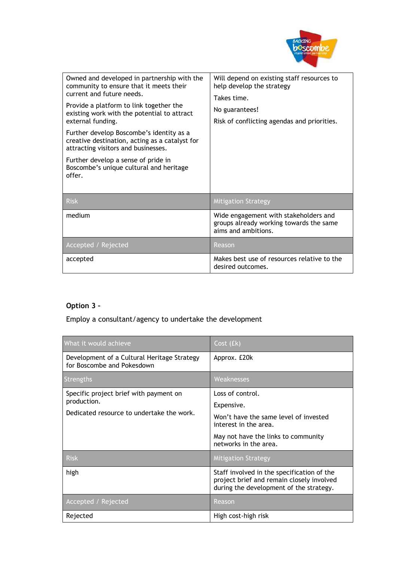

| Owned and developed in partnership with the<br>community to ensure that it meets their<br>current and future needs.<br>Provide a platform to link together the<br>existing work with the potential to attract<br>external funding.<br>Further develop Boscombe's identity as a<br>creative destination, acting as a catalyst for<br>attracting visitors and businesses.<br>Further develop a sense of pride in<br>Boscombe's unique cultural and heritage<br>offer. | Will depend on existing staff resources to<br>help develop the strategy<br>Takes time.<br>No guarantees!<br>Risk of conflicting agendas and priorities. |
|---------------------------------------------------------------------------------------------------------------------------------------------------------------------------------------------------------------------------------------------------------------------------------------------------------------------------------------------------------------------------------------------------------------------------------------------------------------------|---------------------------------------------------------------------------------------------------------------------------------------------------------|
| <b>Risk</b>                                                                                                                                                                                                                                                                                                                                                                                                                                                         | <b>Mitigation Strategy</b>                                                                                                                              |
| medium                                                                                                                                                                                                                                                                                                                                                                                                                                                              | Wide engagement with stakeholders and<br>groups already working towards the same<br>aims and ambitions.                                                 |
| Accepted / Rejected                                                                                                                                                                                                                                                                                                                                                                                                                                                 | Reason                                                                                                                                                  |
| accepted                                                                                                                                                                                                                                                                                                                                                                                                                                                            | Makes best use of resources relative to the<br>desired outcomes.                                                                                        |

#### **Option 3 –**

#### Employ a consultant/agency to undertake the development

| What it would achieve                                                     | Cost (£k)                                                                                                                          |
|---------------------------------------------------------------------------|------------------------------------------------------------------------------------------------------------------------------------|
| Development of a Cultural Heritage Strategy<br>for Boscombe and Pokesdown | Approx. £20k                                                                                                                       |
| Strengths                                                                 | Weaknesses                                                                                                                         |
| Specific project brief with payment on                                    | Loss of control.                                                                                                                   |
| production.                                                               | Expensive.                                                                                                                         |
| Dedicated resource to undertake the work.                                 | Won't have the same level of invested<br>interest in the area.                                                                     |
|                                                                           | May not have the links to community<br>networks in the area.                                                                       |
| <b>Risk</b>                                                               | <b>Mitigation Strategy</b>                                                                                                         |
| high                                                                      | Staff involved in the specification of the<br>project brief and remain closely involved<br>during the development of the strategy. |
| Accepted / Rejected                                                       | Reason                                                                                                                             |
| Rejected                                                                  | High cost-high risk                                                                                                                |